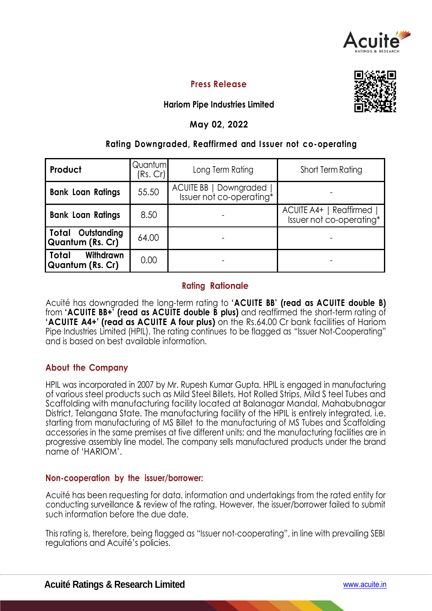

# **Press Release**



# **Hariom Pipe Industries Limited**

## **May 02, 2022**

## **Rating Downgraded, Reaffirmed and I ssuer not co-operating**

| Product                                              | Quantum<br>(Rs. Cr) | Long Term Rating                                   | <b>Short Term Rating</b>                              |  |
|------------------------------------------------------|---------------------|----------------------------------------------------|-------------------------------------------------------|--|
| <b>Bank Loan Ratings</b>                             | 55.50               | ACUITE BB   Downgraded<br>Issuer not co-operating* |                                                       |  |
| <b>Bank Loan Ratings</b>                             | 8.50                |                                                    | ACUITE A4+   Reaffirmed  <br>Issuer not co-operating* |  |
| <b>Total Outstanding</b><br>Quantum (Rs. Cr)         | 64.00               |                                                    |                                                       |  |
| <b>Withdrawn</b><br>Total<br><b>Quantum (Rs. Cr)</b> | 0.00                |                                                    |                                                       |  |

### **Rating Rationale**

Acuité has downgraded the long-term rating to **'ACUITE BB' (read as ACUITE double B)**  from **'ACUITE BB+' (read as ACUITE double B plus)** and reaffirmed the short-term rating of **'ACUITE A4+' (read as ACUITE A four plus)** on the Rs.64.00 Cr bank facilities of Hariom Pipe Industries Limited (HPIL). The rating continues to be flagged as "Issuer Not-Cooperating" and is based on best available information.

# **About the Company**

HPIL was incorporated in 2007 by Mr. Rupesh Kumar Gupta. HPIL is engaged in manufacturing of various steel products such as Mild Steel Billets, Hot Rolled Strips, Mild S teel Tubes and Scaffolding with manufacturing facility located at Balanagar Mandal, Mahabubnagar District, Telangana State. The manufacturing facility of the HPIL is entirely integrated, i.e. starting from manufacturing of MS Billet to the manufacturing of MS Tubes and Scaffolding accessories in the same premises at five different units; and the manufacturing facilities are in progressive assembly line model. The company sells manufactured products under the brand name of 'HARIOM'.

### **Non-cooperation by the issuer/borrower:**

Acuité has been requesting for data, information and undertakings from the rated entity for conducting surveillance & review of the rating. However, the issuer/borrower failed to submit such information before the due date.

This rating is, therefore, being flagged as "Issuer not-cooperating", in line with prevailing SEBI regulations and Acuité's policies.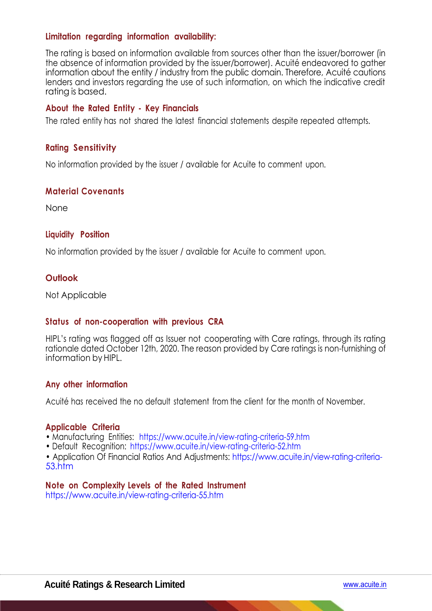### **Limitation regarding information availability:**

The rating is based on information available from sources other than the issuer/borrower (in the absence of information provided by the issuer/borrower). Acuité endeavored to gather information about the entity / industry from the public domain. Therefore, Acuité cautions lenders and investors regarding the use of such information, on which the indicative credit rating is based.

### **About the Rated Entity - Key Financials**

The rated entity has not shared the latest financial statements despite repeated attempts.

### **Rating Sensitivity**

No information provided by the issuer / available for Acuite to comment upon.

### **Material Covenants**

None

### **Liquidity Position**

No information provided by the issuer / available for Acuite to comment upon.

### **Outlook**

Not Applicable

### **Status of non-cooperation with previous CRA**

HIPL's rating was flagged off as Issuer not cooperating with Care ratings, through its rating rationale dated October 12th, 2020. The reason provided by Care ratings is non-furnishing of information by HIPL.

### **Any other information**

Acuité has received the no default statement from the client for the month of November.

### **Applicable Criteria**

- Manufacturing Entities: https://www.acuite.in/view-rating-criteria-59.htm
- Default Recognition: https://www.acuite.in/view-rating-criteria-52.htm

• Application Of Financial Ratios And Adjustments: https://www.acuite.in/view-rating-criteria-53.htm

### **Note on Complexity Levels of the Rated Instrument**

https://www.acuite.in/view-rating-criteria-55.htm

k.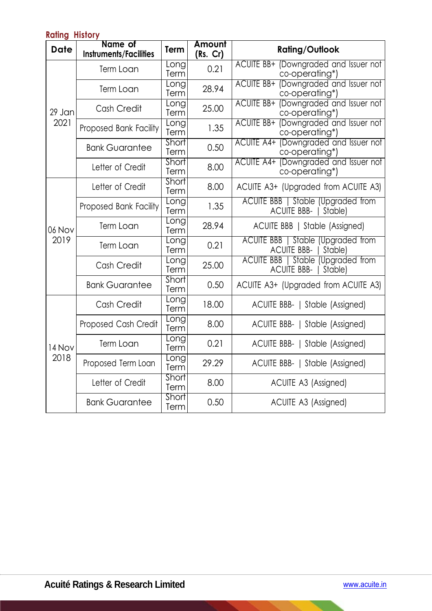| ן וטופות <sub>ש</sub> וווואה |                                          |                      |                    |                                                                             |
|------------------------------|------------------------------------------|----------------------|--------------------|-----------------------------------------------------------------------------|
| <b>Date</b>                  | Name of<br><b>Instruments/Facilities</b> | Term                 | Amount<br>(Rs. Cr) | <b>Rating/Outlook</b>                                                       |
| 29 Jan<br>2021               | Term Loan                                | <b>Long</b><br>Term  | 0.21               | ACUITE BB+ (Downgraded and Issuer not<br>co-operating*)                     |
|                              | Term Loan                                | Long<br>Term         | 28.94              | ACUITE BB+ (Downgraded and Issuer not<br>co-operating*)                     |
|                              | Cash Credit                              | <b>L</b> ong<br>Term | 25.00              | ACUITE BB+ (Downgraded and Issuer not<br>co-operating*)                     |
|                              | Proposed Bank Facility                   | Long<br>Term         | 1.35               | ACUITE BB+ (Downgraded and Issuer not<br>co-operating*)                     |
|                              | <b>Bank Guarantee</b>                    | Short<br>Term        | 0.50               | ACUITE A4+ (Downgraded and Issuer not<br>co-operating*)                     |
|                              | Letter of Credit                         | <b>Short</b><br>Term | 8.00               | ACUITE A4+ (Downgraded and Issuer not<br>co-operating*)                     |
| 06 Nov<br>2019               | Letter of Credit                         | Short<br>Term        | 8.00               | ACUITE A3+ (Upgraded from ACUITE A3)                                        |
|                              | Proposed Bank Facility                   | <b>L</b> ong<br>Term | 1.35               | <b>ACUITE BBB</b>   Stable (Upgraded from<br>ACUITE BBB-   Stable)          |
|                              | Term Loan                                | Eong<br>Term         | 28.94              | ACUITE BBB   Stable (Assigned)                                              |
|                              | Term Loan                                | Long<br>Term         | 0.21               | <b>ACUITE BBB</b><br>Stable (Upgraded from<br><b>ACUITE BBB-</b><br>Stable) |
|                              | Cash Credit                              | <u>Long</u><br>Term  | 25.00              | ACUITE BBB   Stable (Upgraded from<br><b>ACUITE BBB-</b><br>Stable)         |
|                              | <b>Bank Guarantee</b>                    | Short<br>Term        | 0.50               | ACUITE A3+ (Upgraded from ACUITE A3)                                        |
| 14 Nov<br>2018               | Cash Credit                              | Eong<br>Term         | 18.00              | ACUITE BBB-   Stable (Assigned)                                             |
|                              | Proposed Cash Credit                     | <b>Long</b><br>Term  | 8.00               | ACUITE BBB-   Stable (Assigned)                                             |
|                              | Term Loan                                | Long<br>Term         | 0.21               | ACUITE BBB-   Stable (Assigned)                                             |
|                              | Proposed Term Loan                       | Long<br>Term         | 29.29              | ACUITE BBB-   Stable (Assigned)                                             |
|                              | Letter of Credit                         | Short<br>Term        | 8.00               | ACUITE A3 (Assigned)                                                        |
|                              | <b>Bank Guarantee</b>                    | Short<br>Term        | 0.50               | ACUITE A3 (Assigned)                                                        |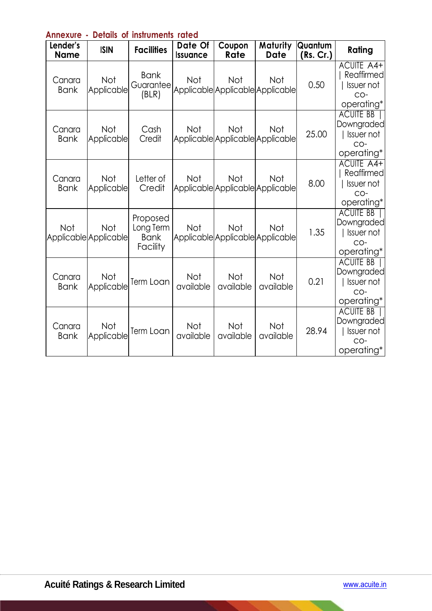| אוווראטור<br>siuni Ju<br>VI.<br><b>THE LIGHT</b><br>1916 |                                     |                                                  |                            |                                                |                         |                      |                                                                       |
|----------------------------------------------------------|-------------------------------------|--------------------------------------------------|----------------------------|------------------------------------------------|-------------------------|----------------------|-----------------------------------------------------------------------|
| Lender's<br><b>Name</b>                                  | <b>ISIN</b>                         | <b>Facilities</b>                                | Date Of<br><b>Issuance</b> | Coupon<br>Rate                                 | Maturity<br><b>Date</b> | Quantum<br>(Rs. Cr.) | Rating                                                                |
| Canara<br><b>Bank</b>                                    | Not<br>Applicable                   | <b>Bank</b><br>Guarantee<br>(BLR)                | <b>Not</b>                 | Not<br>Applicable Applicable Applicable        | Not                     | 0.50                 | <b>ACUITE A4+</b><br>Reaffirmed<br>  Issuer not<br>CO-<br>operating*  |
| Canara<br><b>Bank</b>                                    | <b>Not</b><br>Applicable            | Cash<br>Credit                                   | <b>Not</b>                 | Not<br>Applicable Applicable Applicable        | <b>Not</b>              | 25.00                | <b>ACUITE BB</b><br>Downgraded<br>I Issuer not<br>CO-<br>operating*   |
| Canara<br><b>Bank</b>                                    | <b>Not</b><br>Applicable            | Letter of<br>Credit                              | <b>Not</b>                 | <b>Not</b><br>Applicable Applicable Applicable | <b>Not</b>              | 8.00                 | <b>ACUITE A4+</b><br>Reaffirmed<br>  Issuer not<br>CO-<br>operating*  |
| Not                                                      | <b>Not</b><br>Applicable Applicable | Proposed<br>Long Term<br><b>Bank</b><br>Facility | <b>Not</b>                 | Not<br>Applicable Applicable Applicable        | <b>Not</b>              | 1.35                 | <b>ACUITE BB</b><br>Downgraded<br>  Issuer not<br>$CO-$<br>operating* |
| Canara<br><b>Bank</b>                                    | Not<br>Applicable                   | Term Loan                                        | <b>Not</b><br>available    | <b>Not</b><br>available                        | Not<br>available        | 0.21                 | <b>ACUITE BB</b><br>Downgraded<br>  Issuer not<br>$CO-$<br>operating* |
| Canara<br><b>Bank</b>                                    | Not<br>Applicable                   | Term Loan                                        | <b>Not</b><br>available    | Not<br>available                               | Not<br>available        | 28.94                | <b>ACUITE BB</b><br>Downgraded<br>  Issuer not<br>$CO-$<br>operating* |

# **Annexure - Details of instruments rated**